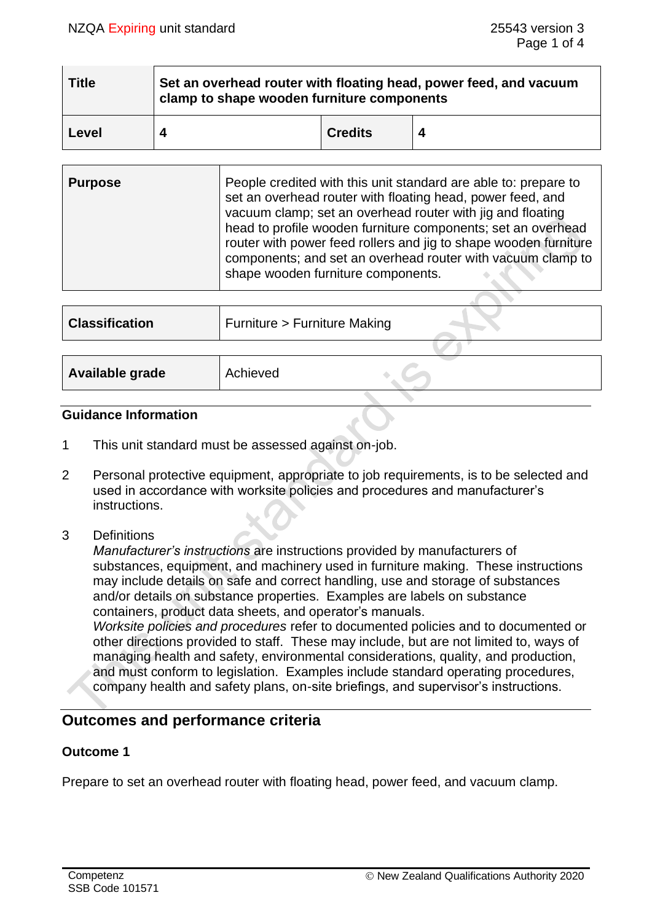| <b>Title</b> | Set an overhead router with floating head, power feed, and vacuum<br>clamp to shape wooden furniture components |  |  |
|--------------|-----------------------------------------------------------------------------------------------------------------|--|--|
| Level        | <b>Credits</b>                                                                                                  |  |  |

| <b>Purpose</b> | People credited with this unit standard are able to: prepare to<br>set an overhead router with floating head, power feed, and<br>vacuum clamp; set an overhead router with jig and floating<br>head to profile wooden furniture components; set an overhead<br>router with power feed rollers and jig to shape wooden furniture<br>components; and set an overhead router with vacuum clamp to<br>shape wooden furniture components. |
|----------------|--------------------------------------------------------------------------------------------------------------------------------------------------------------------------------------------------------------------------------------------------------------------------------------------------------------------------------------------------------------------------------------------------------------------------------------|
|                |                                                                                                                                                                                                                                                                                                                                                                                                                                      |

| <b>Classification</b> | Furniture > Furniture Making |
|-----------------------|------------------------------|
|                       |                              |
| Available grade       | Achieved                     |
|                       |                              |

#### **Guidance Information**

- 1 This unit standard must be assessed against on-job.
- 2 Personal protective equipment, appropriate to job requirements, is to be selected and used in accordance with worksite policies and procedures and manufacturer's instructions.
- 3 Definitions

*Manufacturer's instructions* are instructions provided by manufacturers of substances, equipment, and machinery used in furniture making. These instructions may include details on safe and correct handling, use and storage of substances and/or details on substance properties. Examples are labels on substance containers, product data sheets, and operator's manuals. *Worksite policies and procedures* refer to documented policies and to documented or other directions provided to staff. These may include, but are not limited to, ways of managing health and safety, environmental considerations, quality, and production, and must conform to legislation. Examples include standard operating procedures, company health and safety plans, on-site briefings, and supervisor's instructions.

# **Outcomes and performance criteria**

# **Outcome 1**

Prepare to set an overhead router with floating head, power feed, and vacuum clamp.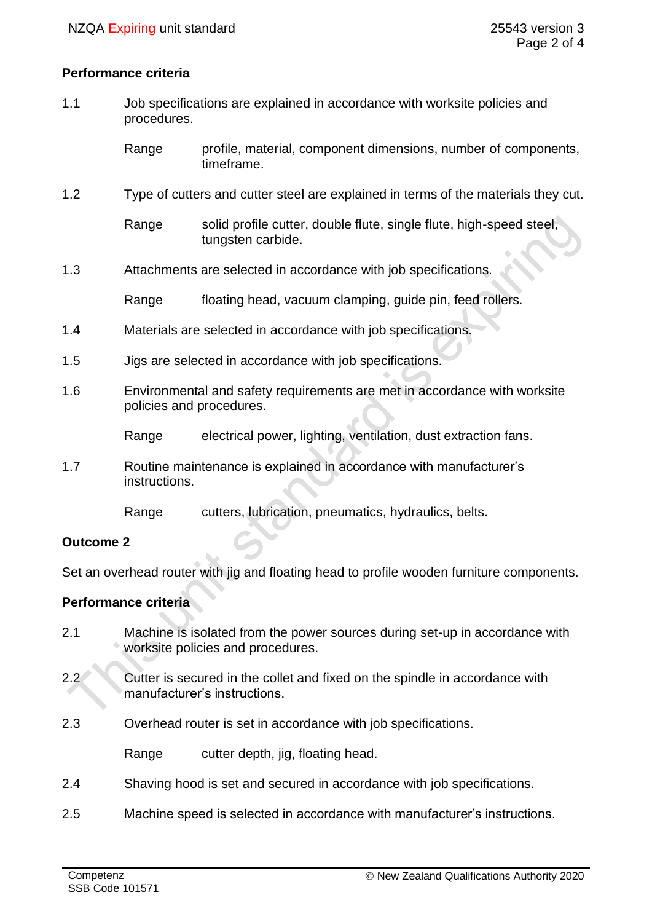### **Performance criteria**

1.1 Job specifications are explained in accordance with worksite policies and procedures.

> Range profile, material, component dimensions, number of components, timeframe.

1.2 Type of cutters and cutter steel are explained in terms of the materials they cut.

Range solid profile cutter, double flute, single flute, high-speed steel, tungsten carbide.

1.3 Attachments are selected in accordance with job specifications.

Range floating head, vacuum clamping, quide pin, feed rollers.

- 1.4 Materials are selected in accordance with job specifications.
- 1.5 Jigs are selected in accordance with job specifications.
- 1.6 Environmental and safety requirements are met in accordance with worksite policies and procedures.

Range electrical power, lighting, ventilation, dust extraction fans.

1.7 Routine maintenance is explained in accordance with manufacturer's instructions.

Range cutters, lubrication, pneumatics, hydraulics, belts.

# **Outcome 2**

Set an overhead router with jig and floating head to profile wooden furniture components.

# **Performance criteria**

- 2.1 Machine is isolated from the power sources during set-up in accordance with worksite policies and procedures.
- 2.2 Cutter is secured in the collet and fixed on the spindle in accordance with manufacturer's instructions.
- 2.3 Overhead router is set in accordance with job specifications.

Range cutter depth, jig, floating head.

- 2.4 Shaving hood is set and secured in accordance with job specifications.
- 2.5 Machine speed is selected in accordance with manufacturer's instructions.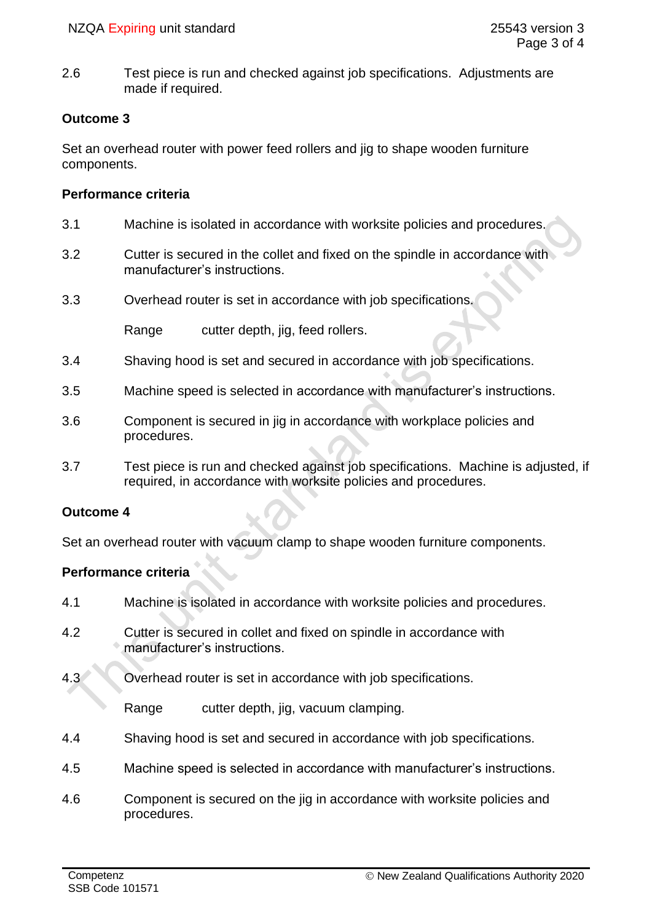2.6 Test piece is run and checked against job specifications. Adjustments are made if required.

# **Outcome 3**

Set an overhead router with power feed rollers and jig to shape wooden furniture components.

# **Performance criteria**

- 3.1 Machine is isolated in accordance with worksite policies and procedures.
- 3.2 Cutter is secured in the collet and fixed on the spindle in accordance with manufacturer's instructions.
- 3.3 Overhead router is set in accordance with job specifications.

Range cutter depth, jig, feed rollers.

- 3.4 Shaving hood is set and secured in accordance with job specifications.
- 3.5 Machine speed is selected in accordance with manufacturer's instructions.
- 3.6 Component is secured in jig in accordance with workplace policies and procedures.
- 3.7 Test piece is run and checked against job specifications. Machine is adjusted, if required, in accordance with worksite policies and procedures.

# **Outcome 4**

Set an overhead router with vacuum clamp to shape wooden furniture components.

# **Performance criteria**

- 4.1 Machine is isolated in accordance with worksite policies and procedures.
- 4.2 Cutter is secured in collet and fixed on spindle in accordance with manufacturer's instructions.
- 4.3 Overhead router is set in accordance with job specifications.

Range cutter depth, jig, vacuum clamping.

- 4.4 Shaving hood is set and secured in accordance with job specifications.
- 4.5 Machine speed is selected in accordance with manufacturer's instructions.
- 4.6 Component is secured on the jig in accordance with worksite policies and procedures.